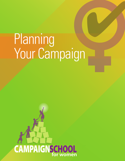# Planning Your Campaign

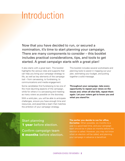## Introduction

Now that you have decided to run, or secured a nomination, it's time to start planning your campaign. There are many components to consider – this booklet includes practical considerations, tips, and tools to get started. A great campaign starts with a great plan!

It also starts with a great team. This booklet highlights the various roles and supports that can help you bring your campaign strategy to life, as well as key elements of the campaign trail – from canvassing, to fundraising, to communications and media engagement.

Some candidates find fundraising to be one of the most daunting aspects of the campaign, while for others it is canvassing and meeting as many voters as possible on the doorstep.

With a solid plan, you will be able to anticipate challenges, ensure you have enough time and resources, and assemble a team that matches the ambition of your campaign strategy.

This booklet includes several worksheets and planning tools to assist in mapping out your plan, estimating your budget, and putting together a solid message.

**Throughout your campaign, take every opportunity to repeat your views on the issues and, when all else fails, repeat them again. Let your voters get to know you and what you stand for.**

Start planning **1 year** before election.

Confirm campaign team **6 months** before election. **The earlier you decide to run for office, the better.** When possible, six months to a year is a good lead time, and your campaign team should be in place six months before the when an election will be called, and planning your campaign in advance is beneficial.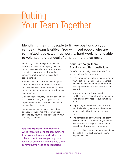## Putting Your Team Together

Identifying the right people to fill key positions on your campaign team is critical. You will need people who are committed, dedicated, trustworthy, hard-working, and able to volunteer a great deal of time during the campaign.

There may be a campaign team already available in cases where a party reaches out and asks a candidate to run. In some campaigns, party workers from other provinces are brought in to assist local constituencies.

Approach individuals from a wide range of community groups and organizations to work on your team to ensure that you have broad and diverse representation within your constituency.

Broad support is crucial, and diversity in your team will enhance your support base and improve your understanding of the various perspectives on issues.

In some cases, workers are paid a stipend or salary for their time. Whether you can afford to pay your workers depends on your campaign finances.

**It is important to remember** that, while you are looking for commitment from your volunteers, individuals have other commitments regarding work, family, or other volunteering, and these commitments need to be respected.

#### Your Campaign Team: Positions and Responsibilities

An effective campaign team is crucial for a successful election campaign.

- The more people you have volunteering for your election campaign, the more voters you can reach and identify to vote for you, assuring someone will be available when needed.
- More volunteers will also ease the workload and pressure, both for you as the candidate and the rest of your campaign team.
- Depending on the size of your campaign and the level of government, the number of individuals filling these positions will vary.
- The composition of your campaign team will depend on what works for you in your electoral area and in your circumstances, as well as with your team members.
- Each party has a campaign team guidebook that details what each campaign team position involves.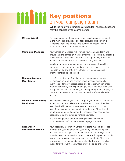## Key positions on your campaign team

While the following functions are needed, multiple functions may be handled by the same person.

| <b>Official Agent</b>                            | You must name an official agent when registering as a candidate<br>at the municipal, provincial, and federal levels. This person is<br>responsible for keeping track and submitting expenses and<br>contributions to the Chief Electoral Officer.                                                                                                                                                                                                                               |
|--------------------------------------------------|---------------------------------------------------------------------------------------------------------------------------------------------------------------------------------------------------------------------------------------------------------------------------------------------------------------------------------------------------------------------------------------------------------------------------------------------------------------------------------|
| <b>Campaign Manager</b>                          | Your Campaign Manager will oversee your campaign team and<br>ensure that the campaign runs as smoothly as possible by directing<br>the candidate's daily activities. Your campaign manager may also<br>act as your channel to the party and the riding association.                                                                                                                                                                                                             |
|                                                  | Ideally, your campaign manager will be someone with political<br>experience who you respect and get along with, who can give<br>you both praise and criticism, is trustworthy, and has good<br>organizational and people skills.                                                                                                                                                                                                                                                |
| <b>Communications</b><br><b>Coordinator</b>      | Your Communications Coordinator will arrange appointments<br>for media interviews and prepare news releases and article<br>submissions for newspapers, radio, and television, in conjunction<br>with the candidate, campaign manager, and researcher. They also<br>design and schedule advertising, including through the campaign's<br>website, and monitor and support the candidate's social media<br>accounts.                                                              |
| <b>Finance Coordinator/</b><br><b>Fundraiser</b> | Working closely with your Official Agent, your Financial Coordinator<br>is responsible for bookkeeping, must be familiar with the rules<br>associated with campaign expenses and, depending on the<br>size of your campaign, may conduct fundraising. They should<br>be a thorough record keeper and, if possible, have connections,<br>especially regarding potential funding sources.                                                                                         |
|                                                  | It is often suggested that fundraising activities should be<br>completed even before an election campaign is called.                                                                                                                                                                                                                                                                                                                                                            |
| <b>Researcher/</b><br><b>Information Officer</b> | Your Research/Information Officer will locate material on issues<br>important to your constituency, your party, and your campaign,<br>and monitor newspaper stories relevant to your campaign. They<br>may also assist in writing background material for speeches, public<br>forums and debates, news releases, and pamphlets. This person<br>often works with your databases to identify the vote as well as<br>supporters who want to volunteer or put a sign on their lawn. |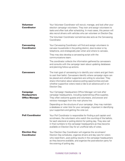| <b>Volunteer</b><br><b>Coordinator</b>                          | Your Volunteer Coordinator will recruit, manage, and look after your<br>election campaign volunteers. They train and assign volunteers to<br>tasks and often look after scheduling. In most cases, this person will<br>also recruit drivers with vehicles who can volunteer on Election Day.<br>The Volunteer Coordinator sometimes also acts as the Canvassing  |
|-----------------------------------------------------------------|------------------------------------------------------------------------------------------------------------------------------------------------------------------------------------------------------------------------------------------------------------------------------------------------------------------------------------------------------------------|
|                                                                 | Coordinator.                                                                                                                                                                                                                                                                                                                                                     |
| <b>Canvassing</b><br><b>Coordinator</b>                         | Your Canvassing Coordinator will find and assign volunteers to<br>canvass households in the polling district, door-to-door or by<br>telephone, and strategically plan when and where to canvass.                                                                                                                                                                 |
|                                                                 | They may also develop a canvassing script with the<br>communications team.                                                                                                                                                                                                                                                                                       |
|                                                                 | The coordinator collects the information gathered by canvassers<br>and consults with the campaign team about updating databases<br>and planning follow-up actions.                                                                                                                                                                                               |
| <b>Canvassers</b>                                               | The main goal of canvassing is to identify your voters and get them<br>to cast their ballot. Canvassers identify where campaign signs can<br>be placed and whether supporters are willing to volunteer. They<br>share information about advance polling opportunities and ask<br>whether supportive voters need a ride to an advance poll or on<br>Election Day. |
| <b>Campaign</b><br><b>Headquarters</b><br><b>Office Manager</b> | Your Campaign Headquarters Office Manager will look after<br>campaign headquarters, including replenishing office supplies.<br>They often welcome guests and volunteers, and answer and<br>retrieve messages from the main phone line.                                                                                                                           |
|                                                                 | Depending on the structure of your campaign, they may maintain<br>a database or voter lists for your campaign, important in identifying<br>your supporters and getting the vote out.                                                                                                                                                                             |
| <b>Poll Coordinator</b>                                         | Your Poll Coordinator is responsible for finding a poll captain and<br>scrutineers, the volunteers who watch the counting of the ballots,<br>for each electoral or polling district for polling day. They also call<br>in final numbers to the campaign headquarters as they become<br>available on Election Day for an unofficial tally of votes.               |
| <b>Election Day</b><br><b>Coordinator</b>                       | Your Election Day Coordinator will organize the scrutineers'<br>Election Day schedules, organize drivers and day care for voters<br>who need them, post polling results in the campaign headquarters<br>as they become available, and organize the post-election party for<br>the evening of polling day.                                                        |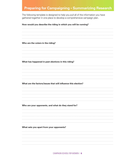### **Preparing for Campaigning . Summarizing Research**

The following template is designed to help you pull all of the information you have gathered together in one place to develop a comprehensive campaign plan.

#### How would you describe the riding in which you will be running?

Who are the voters in the riding?

What has happened in past elections in this riding?

What are the factors/issues that will influence this election?

Who are your opponents, and what do they stand for?

What sets you apart from your opponents?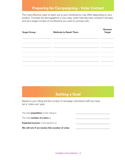## **Preparing for Campaigning • Voter Contact**

The most effective ways to reach out to your constituency may differ depending on your location. Consider the demographics in your area, what methods have worked in the past, and set a target number of constituents you want to connect with.

| <b>Target Group</b> | <b>Methods to Reach Them</b> | <b>Numeric</b><br><b>Target</b> |
|---------------------|------------------------------|---------------------------------|
|                     |                              |                                 |
|                     |                              |                                 |
|                     |                              |                                 |
|                     |                              |                                 |
|                     |                              |                                 |

## **Setting a Goal**

Based on your riding and the number of campaign volunteers/ staff you have, set a 'votes won' goal.

| We will win if we receive this number of votes: |  |
|-------------------------------------------------|--|
| <b>Expected turnout</b> in this election is:    |  |
| The total <b>number of voters</b> is:           |  |
| The total <b>population</b> of the riding is:   |  |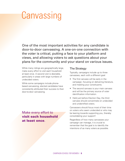## **Canvassing**

One of the most important activities for any candidate is door-to-door canvassing. A one-on-one connection with the voter is critical, putting a face to your platform and views, and allowing voters to ask questions about your plans for the community and your stand on various issues.

While many ridings are geographically large, make every effort to visit each household at least once. A second visit is desirable, particularly in areas with large numbers of undecided voters.

While some campaigns include phonebased canvassing, elected candidates have consistently attributed their success to their door-to-door canvassing.

Make every effort to visit each household at least once.

#### The Strategy

Typically, campaigns include up to three canvasses, each with a different goal:

- The first canvass will be early in the campaign, focusing on delivering literature, and meeting your constituents.
- The second canvass is your main canvass and will be the primary source of voter identification information.
- Held just before Election Day, the third canvass should concentrate on undecided and unidentified voters.

Canvassers should focus most of their time on voters who seem undecided or who may be leaning towards supporting you, thereby consolidating your support!

Regardless of how many canvasses your campaign can manage, it is crucial to remember that the goal is to identify the intentions of as many voters as possible.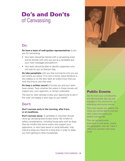## Do's and Don'ts of Canvassing

#### Do:

**Do have a team of well-spoken representatives** to join you for canvassing.

- Your team should be trained with a canvassing script and be familiar with who you are as a candidate and your main messages and platform.
- Your team should be able to identify supporters who will vote for you on Election Day.

**Do take pamphlets** with you that summarize who you are and where you stand. If no one is home, leave literature in the mailbox or on the door latch so voters know that you took the time to visit their area.

**Do keep a written record** of homes you and your team have visited. Track whether the voters in those homes will support you, your opponent, or remain undecided.

The door-to- door canvass is also your opportunity to ask if the voter will display a lawn sign on your behalf.

### Don't:

#### **Don't canvass early in the morning, after 9 pm, or at mealtimes.**

**Don't canvass alone.** A candidate or volunteer should never go canvasing door-to-door alone. Be mindful of safety considerations, including house pets such as dogs. Also be mindful that some voters who support your opponents, or who have sexist or racist attitudes, may intend to keep you there for a long time in order to delay you from getting to other households.



### Public Events

Get to know your constituents, and demonstrate that you are engaged in the community, by attending community events.

The more events you attend, the more you will be able to connect with voters and share your beliefs and agenda.

This can be particularly important in rural areas, where the geographic size can make it difficult to connect with every voter.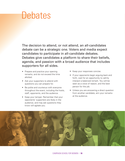## **Debates**

The decision to attend, or not attend, an all-candidates debate can be a strategic one. Voters and media expect candidates to participate in all-candidate debates. Debates give candidates a platform to share their beliefs, agenda, and passion with a broad audience that includes supporters for all sides.

- Prepare and practice your opening remarks, and do not exceed the time allotted.
- Ask your supporters to attend with questions you can prepare for.
- Be polite and courteous with everyone throughout the event, including the hosts, staff, opponents, and the audience.
- Keep your temper. Remember that your opponents' supporters are likely in the audience, and may ask questions they know will agitate you.
- Keep your responses concise.
- If your opponents begin arguing back and forth, wait for an opportunity to calmly interject a balanced remark. You will be seen as a voice of reason, and the best person for the job.
- Unless you are answering a direct question from another candidate, aim your remarks at the audience.

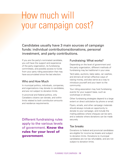## How much will your campaign cost?

Candidates usually have 3 main sources of campaign funds: individual contributions/donations, personal investment, and party contributions.

If you are the party's nominated candidate, you will have the support and experience of the party organization, its fundraising committees, and possibly access to funds from your party riding association that may have accumulated since the last election.

#### Who and How Much

In municipal politics, individuals, companies, and organizations may donate to candidates, and are not subject to donation limits.

In provincial and federal politics, only Canadians citizens can donate, and within limits related to both contribution amounts and residence requirements.

Different fundraising rules apply to the various levels of government. **Know the** rules for your level of government.

#### Fundraising: What works?

Depending on the level of government and the party organization, different methods of fundraising may be traditional in your area.

Yard sales, auctions, bake sales, car washes, and dinners all remain effective ways of raising money, and also serve as a way to introduce yourself and your team to the community.

Your riding association may host fundraising events for your support base, such as workshops or dinners.

Other fundraising strategies depend to a large extent on direct solicitation by phone or email.

Flyers, emails, and other campaign materials should always include an opportunity to donate to your campaign, and include the mailing address where cheques can be sent, and a website where donations can be made securely.

#### Tax breaks

Donations to federal and provincial candidates are eligible for income tax breaks and subject to donation limits. Donations to municipal candidates are not tax refundable, and are not subject to donation limits.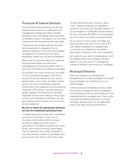#### Provincial & Federal Elections

Provincial and federal elections can be very expensive and require an organization and management strategy that calls for greater spending. If you have already been nominated to represent a party in an election, you will have financial and resource backing from your party.

These funds are usually raised by the local party association in preparation for an upcoming election, so the amounts available will depend on the party and the riding association where you will be the candidate.

Make sure you are clear about your personal financial responsibility as well as the campaigning limits and associated rules for both your nomination and elections campaign.

To estimate how much money you will need to run a successful campaign, look at the returns for the last election at your level of government in your riding. Included in these returns are lists of candidates' expenses broken down into categories such as personal expenses, office rental, travelling expenses, goods supplied, and advertising. Although expenses will vary from riding to riding, party to party, and individual to individual, you will get a general sense of how much it will cost to be competitive.

#### **Be sure to check the appropriate elections act and the established spending limits.**

In federal and provincial elections, candidates who secure more than 15 per cent of the votes in their polling district receive an election rebate from their level of government. The rebate received from public funds, such as the Provincial Consolidated Fund, is based on the number of people in the riding and the number of candidates who receive more than 15 per cent of the votes.

To estimate this amount, find your riding in the "election expenses of candidates" section in the returns for the latest election. If you are eligible for a \$20,000 reimbursement, but you only spent \$10,000 on your campaign, you will receive only what you actually spent.

Do not count on this money until after you have received more than 15 per cent of the vote. Many candidates are disappointed to find they are ineligible for the rebate, particularly in elections with many candidates.

Set a goal for your team to fundraise as much as possible before the campaign officially begins so you can focus on campaigning instead of raising funds during your campaign.

#### Municipal Elections

With the exception of mayoralty and amalgamated municipal campaigns, municipal level campaigns can typically be run on a limited budget.

Unlike provincial and federal elections, there are no party campaign funds for candidates, and fundraising is left almost entirely up to the individual and her campaign team. Also, unlike provincial and federal donations, municipal campaign donations are not tax-deductible, which may deter financial contributors.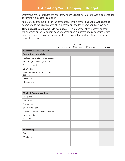### **Estimating Your Campaign Budget**

Determine which expenses are necessary, and which are not vital, but would be beneficial to running a successful campaign.

You may select some, or all, of the components in this campaign budget worksheet as appropriate to the size and style of your campaign, and the budget you have available.

**Obtain realistic estimates—do not guess.** Have a member of your campaign team call or search online for current rates of photographers, printers, media agencies, office supplies, phone companies, and so on. Look for opportunities for bulk purchasing and competitive pricing.

|                                                 | Pre-Campaign | Election<br>Campaign | Post-Election | <b>TOTAL</b> |
|-------------------------------------------------|--------------|----------------------|---------------|--------------|
| <b>EXPENSES - INCOME OUT</b>                    |              |                      |               |              |
| <b>Promotional Materials</b>                    |              |                      |               |              |
| Professional photo(s) of candidate              |              |                      |               |              |
| Posters (graphic design and print)              |              |                      |               |              |
| Flyers and leaflets                             |              |                      |               |              |
| Lawn signs                                      |              |                      |               |              |
| Paraphernalia (buttons, stickers,<br>pens, etc) |              |                      |               |              |
| Invitations                                     |              |                      |               |              |
| Photocopies                                     |              |                      |               |              |
|                                                 |              |                      |               |              |
|                                                 |              |                      |               |              |
| <b>Media &amp; Communications</b>               |              |                      |               |              |
| Radio ads                                       |              |                      |               |              |
| <b>Billboards</b>                               |              |                      |               |              |
| Newspaper ads                                   |              |                      |               |              |
| Social media ads                                |              |                      |               |              |
| Website (design, hosting costs, etc.)           |              |                      |               |              |
| Press events                                    |              |                      |               |              |
| Mailouts                                        |              |                      |               |              |
|                                                 |              |                      |               |              |
|                                                 |              |                      |               |              |
| <b>Fundraising</b>                              |              |                      |               |              |
| Events                                          |              |                      |               |              |
| Meetings                                        |              |                      |               |              |
|                                                 |              |                      |               |              |
|                                                 |              |                      |               |              |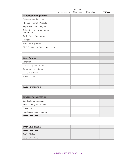|                                                  | Election     |          |               |              |
|--------------------------------------------------|--------------|----------|---------------|--------------|
|                                                  | Pre-Campaign | Campaign | Post-Election | <b>TOTAL</b> |
| <b>Campaign Headquarters</b>                     |              |          |               |              |
| Office rent and utilities                        |              |          |               |              |
| Phones, internet, TV/cable                       |              |          |               |              |
| Supplies (paper, pens, etc.)                     |              |          |               |              |
| Office technology (computers,<br>printers, etc.) |              |          |               |              |
| Coffee/tea/refreshments                          |              |          |               |              |
| Postage                                          |              |          |               |              |
| Volunteer expenses                               |              |          |               |              |
| Staff / consulting fees (if applicable)          |              |          |               |              |
|                                                  |              |          |               |              |
|                                                  |              |          |               |              |
| <b>Voter Contact</b>                             |              |          |               |              |
| Voter list                                       |              |          |               |              |
| Canvassing (door to door)                        |              |          |               |              |
| Community meetings                               |              |          |               |              |
| Get Out the Vote                                 |              |          |               |              |
| Transportation                                   |              |          |               |              |
|                                                  |              |          |               |              |
|                                                  |              |          |               |              |
| <b>TOTAL EXPENSES</b>                            |              |          |               |              |

| <b>REVENUE – INCOME IN</b>    |  |  |
|-------------------------------|--|--|
| Candidate contributions       |  |  |
| Political Party contributions |  |  |
| Donations                     |  |  |
| Fundraising events income     |  |  |
| <b>TOTAL INCOME</b>           |  |  |

| <b>TOTAL EXPENSES</b> |  |  |
|-----------------------|--|--|
| <b>TOTAL INCOME</b>   |  |  |
| <b>CASH FLOW</b>      |  |  |
| CASH-ON-HAND          |  |  |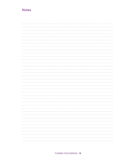### **Notes**

| and the control          |
|--------------------------|
|                          |
| $\overline{\phantom{a}}$ |
|                          |
|                          |
|                          |
|                          |
|                          |
|                          |
|                          |
|                          |
|                          |
|                          |
| and the control          |